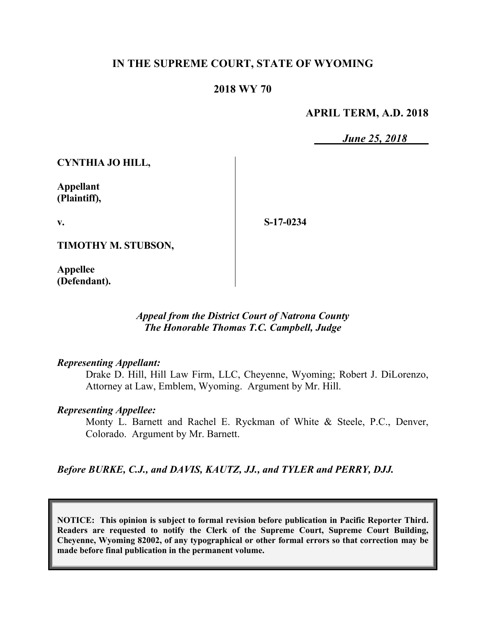## **IN THE SUPREME COURT, STATE OF WYOMING**

#### **2018 WY 70**

#### **APRIL TERM, A.D. 2018**

*June 25, 2018*

**CYNTHIA JO HILL,**

**Appellant (Plaintiff),**

**v.**

**S-17-0234**

**TIMOTHY M. STUBSON,**

**Appellee (Defendant).**

#### *Appeal from the District Court of Natrona County The Honorable Thomas T.C. Campbell, Judge*

#### *Representing Appellant:*

Drake D. Hill, Hill Law Firm, LLC, Cheyenne, Wyoming; Robert J. DiLorenzo, Attorney at Law, Emblem, Wyoming. Argument by Mr. Hill.

#### *Representing Appellee:*

Monty L. Barnett and Rachel E. Ryckman of White & Steele, P.C., Denver, Colorado. Argument by Mr. Barnett.

*Before BURKE, C.J., and DAVIS, KAUTZ, JJ., and TYLER and PERRY, DJJ.* 

**NOTICE: This opinion is subject to formal revision before publication in Pacific Reporter Third. Readers are requested to notify the Clerk of the Supreme Court, Supreme Court Building, Cheyenne, Wyoming 82002, of any typographical or other formal errors so that correction may be made before final publication in the permanent volume.**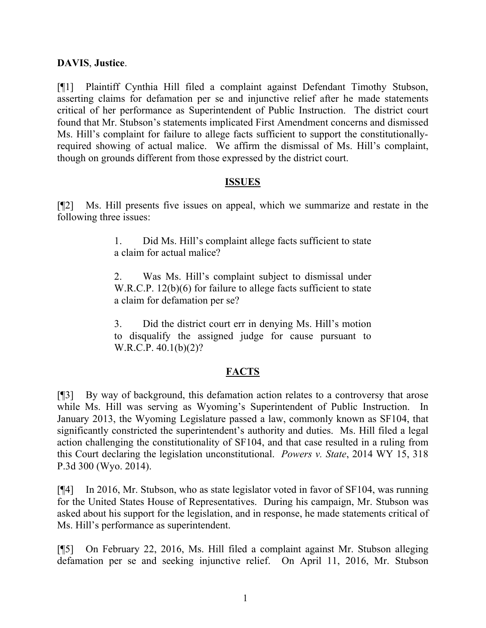## **DAVIS**, **Justice**.

[¶1] Plaintiff Cynthia Hill filed a complaint against Defendant Timothy Stubson, asserting claims for defamation per se and injunctive relief after he made statements critical of her performance as Superintendent of Public Instruction. The district court found that Mr. Stubson's statements implicated First Amendment concerns and dismissed Ms. Hill's complaint for failure to allege facts sufficient to support the constitutionallyrequired showing of actual malice. We affirm the dismissal of Ms. Hill's complaint, though on grounds different from those expressed by the district court.

#### **ISSUES**

[¶2] Ms. Hill presents five issues on appeal, which we summarize and restate in the following three issues:

> 1. Did Ms. Hill's complaint allege facts sufficient to state a claim for actual malice?

> 2. Was Ms. Hill's complaint subject to dismissal under W.R.C.P. 12(b)(6) for failure to allege facts sufficient to state a claim for defamation per se?

> 3. Did the district court err in denying Ms. Hill's motion to disqualify the assigned judge for cause pursuant to W.R.C.P. 40.1(b)(2)?

## **FACTS**

[¶3] By way of background, this defamation action relates to a controversy that arose while Ms. Hill was serving as Wyoming's Superintendent of Public Instruction. In January 2013, the Wyoming Legislature passed a law, commonly known as SF104, that significantly constricted the superintendent's authority and duties. Ms. Hill filed a legal action challenging the constitutionality of SF104, and that case resulted in a ruling from this Court declaring the legislation unconstitutional. *Powers v. State*, 2014 WY 15, 318 P.3d 300 (Wyo. 2014).

[¶4] In 2016, Mr. Stubson, who as state legislator voted in favor of SF104, was running for the United States House of Representatives. During his campaign, Mr. Stubson was asked about his support for the legislation, and in response, he made statements critical of Ms. Hill's performance as superintendent.

[¶5] On February 22, 2016, Ms. Hill filed a complaint against Mr. Stubson alleging defamation per se and seeking injunctive relief. On April 11, 2016, Mr. Stubson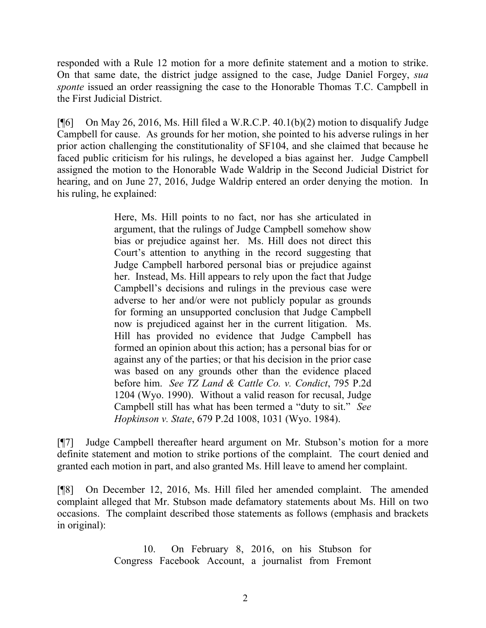responded with a Rule 12 motion for a more definite statement and a motion to strike. On that same date, the district judge assigned to the case, Judge Daniel Forgey, *sua sponte* issued an order reassigning the case to the Honorable Thomas T.C. Campbell in the First Judicial District.

 $[$ [[6] On May 26, 2016, Ms. Hill filed a W.R.C.P. 40.1(b)(2) motion to disqualify Judge Campbell for cause. As grounds for her motion, she pointed to his adverse rulings in her prior action challenging the constitutionality of SF104, and she claimed that because he faced public criticism for his rulings, he developed a bias against her. Judge Campbell assigned the motion to the Honorable Wade Waldrip in the Second Judicial District for hearing, and on June 27, 2016, Judge Waldrip entered an order denying the motion. In his ruling, he explained:

> Here, Ms. Hill points to no fact, nor has she articulated in argument, that the rulings of Judge Campbell somehow show bias or prejudice against her. Ms. Hill does not direct this Court's attention to anything in the record suggesting that Judge Campbell harbored personal bias or prejudice against her. Instead, Ms. Hill appears to rely upon the fact that Judge Campbell's decisions and rulings in the previous case were adverse to her and/or were not publicly popular as grounds for forming an unsupported conclusion that Judge Campbell now is prejudiced against her in the current litigation. Ms. Hill has provided no evidence that Judge Campbell has formed an opinion about this action; has a personal bias for or against any of the parties; or that his decision in the prior case was based on any grounds other than the evidence placed before him. *See TZ Land & Cattle Co. v. Condict*, 795 P.2d 1204 (Wyo. 1990). Without a valid reason for recusal, Judge Campbell still has what has been termed a "duty to sit." *See Hopkinson v. State*, 679 P.2d 1008, 1031 (Wyo. 1984).

[¶7] Judge Campbell thereafter heard argument on Mr. Stubson's motion for a more definite statement and motion to strike portions of the complaint. The court denied and granted each motion in part, and also granted Ms. Hill leave to amend her complaint.

[¶8] On December 12, 2016, Ms. Hill filed her amended complaint. The amended complaint alleged that Mr. Stubson made defamatory statements about Ms. Hill on two occasions. The complaint described those statements as follows (emphasis and brackets in original):

> 10. On February 8, 2016, on his Stubson for Congress Facebook Account, a journalist from Fremont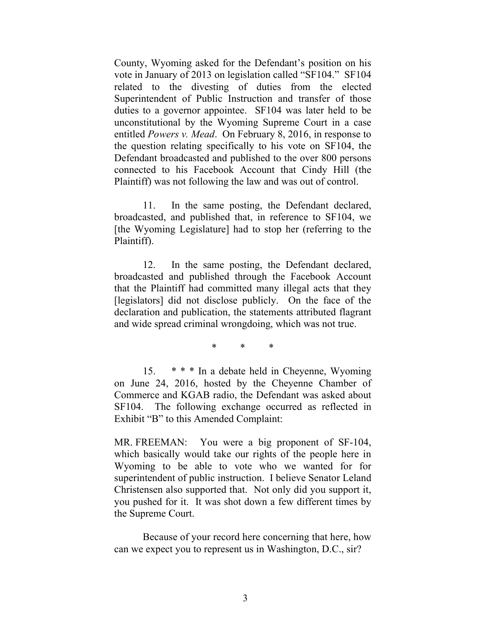County, Wyoming asked for the Defendant's position on his vote in January of 2013 on legislation called "SF104." SF104 related to the divesting of duties from the elected Superintendent of Public Instruction and transfer of those duties to a governor appointee. SF104 was later held to be unconstitutional by the Wyoming Supreme Court in a case entitled *Powers v. Mead*. On February 8, 2016, in response to the question relating specifically to his vote on SF104, the Defendant broadcasted and published to the over 800 persons connected to his Facebook Account that Cindy Hill (the Plaintiff) was not following the law and was out of control.

11. In the same posting, the Defendant declared, broadcasted, and published that, in reference to SF104, we [the Wyoming Legislature] had to stop her (referring to the Plaintiff).

12. In the same posting, the Defendant declared, broadcasted and published through the Facebook Account that the Plaintiff had committed many illegal acts that they [legislators] did not disclose publicly. On the face of the declaration and publication, the statements attributed flagrant and wide spread criminal wrongdoing, which was not true.

\* \* \*

15. \* \* \* In a debate held in Cheyenne, Wyoming on June 24, 2016, hosted by the Cheyenne Chamber of Commerce and KGAB radio, the Defendant was asked about SF104. The following exchange occurred as reflected in Exhibit "B" to this Amended Complaint:

MR. FREEMAN: You were a big proponent of SF-104, which basically would take our rights of the people here in Wyoming to be able to vote who we wanted for for superintendent of public instruction. I believe Senator Leland Christensen also supported that. Not only did you support it, you pushed for it. It was shot down a few different times by the Supreme Court.

Because of your record here concerning that here, how can we expect you to represent us in Washington, D.C., sir?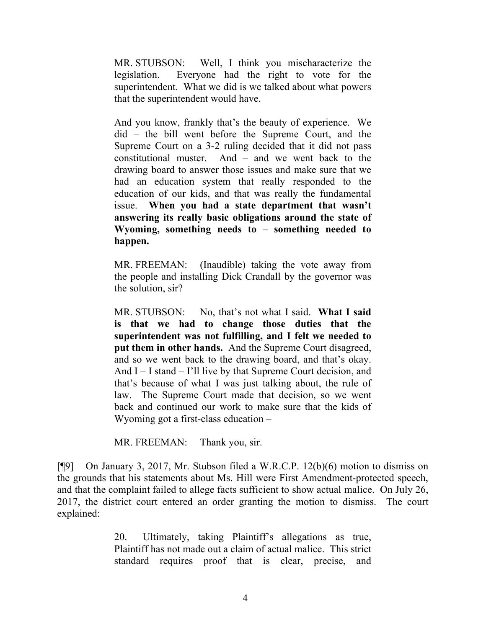MR. STUBSON: Well, I think you mischaracterize the legislation. Everyone had the right to vote for the superintendent. What we did is we talked about what powers that the superintendent would have.

And you know, frankly that's the beauty of experience. We did – the bill went before the Supreme Court, and the Supreme Court on a 3-2 ruling decided that it did not pass constitutional muster. And – and we went back to the drawing board to answer those issues and make sure that we had an education system that really responded to the education of our kids, and that was really the fundamental issue. **When you had a state department that wasn't answering its really basic obligations around the state of Wyoming, something needs to – something needed to happen.**

MR. FREEMAN: (Inaudible) taking the vote away from the people and installing Dick Crandall by the governor was the solution, sir?

MR. STUBSON: No, that's not what I said. **What I said is that we had to change those duties that the superintendent was not fulfilling, and I felt we needed to put them in other hands.** And the Supreme Court disagreed, and so we went back to the drawing board, and that's okay. And I – I stand – I'll live by that Supreme Court decision, and that's because of what I was just talking about, the rule of law. The Supreme Court made that decision, so we went back and continued our work to make sure that the kids of Wyoming got a first-class education –

MR. FREEMAN: Thank you, sir.

[¶9] On January 3, 2017, Mr. Stubson filed a W.R.C.P. 12(b)(6) motion to dismiss on the grounds that his statements about Ms. Hill were First Amendment-protected speech, and that the complaint failed to allege facts sufficient to show actual malice. On July 26, 2017, the district court entered an order granting the motion to dismiss. The court explained:

> 20. Ultimately, taking Plaintiff's allegations as true, Plaintiff has not made out a claim of actual malice. This strict standard requires proof that is clear, precise, and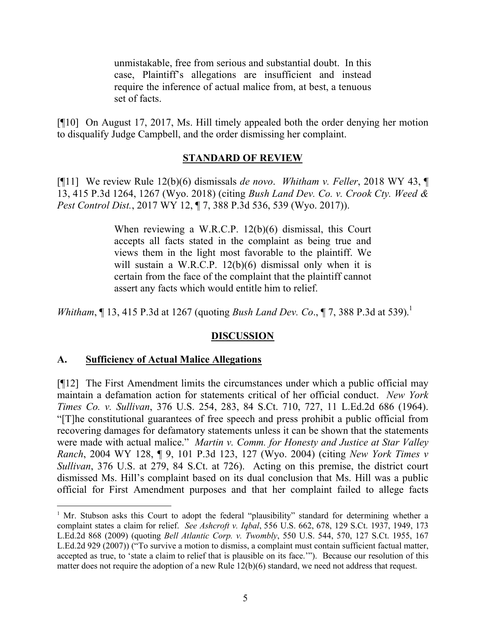unmistakable, free from serious and substantial doubt. In this case, Plaintiff's allegations are insufficient and instead require the inference of actual malice from, at best, a tenuous set of facts.

[¶10] On August 17, 2017, Ms. Hill timely appealed both the order denying her motion to disqualify Judge Campbell, and the order dismissing her complaint.

## **STANDARD OF REVIEW**

[¶11] We review Rule 12(b)(6) dismissals *de novo*. *Whitham v. Feller*, 2018 WY 43, ¶ 13, 415 P.3d 1264, 1267 (Wyo. 2018) (citing *Bush Land Dev. Co. v. Crook Cty. Weed & Pest Control Dist.*, 2017 WY 12, ¶ 7, 388 P.3d 536, 539 (Wyo. 2017)).

> When reviewing a W.R.C.P. 12(b)(6) dismissal, this Court accepts all facts stated in the complaint as being true and views them in the light most favorable to the plaintiff. We will sustain a W.R.C.P. 12(b)(6) dismissal only when it is certain from the face of the complaint that the plaintiff cannot assert any facts which would entitle him to relief.

*Whitham*, *[13, 415 P.3d at 1267 (quoting <i>Bush Land Dev. Co.*, *[7, 388 P.3d at 539*).<sup>1</sup>

## **DISCUSSION**

## **A. Sufficiency of Actual Malice Allegations**

[¶12] The First Amendment limits the circumstances under which a public official may maintain a defamation action for statements critical of her official conduct. *New York Times Co. v. Sullivan*, 376 U.S. 254, 283, 84 S.Ct. 710, 727, 11 L.Ed.2d 686 (1964). "[T]he constitutional guarantees of free speech and press prohibit a public official from recovering damages for defamatory statements unless it can be shown that the statements were made with actual malice." *Martin v. Comm. for Honesty and Justice at Star Valley Ranch*, 2004 WY 128, ¶ 9, 101 P.3d 123, 127 (Wyo. 2004) (citing *New York Times v Sullivan*, 376 U.S. at 279, 84 S.Ct. at 726). Acting on this premise, the district court dismissed Ms. Hill's complaint based on its dual conclusion that Ms. Hill was a public official for First Amendment purposes and that her complaint failed to allege facts

<sup>&</sup>lt;sup>1</sup> Mr. Stubson asks this Court to adopt the federal "plausibility" standard for determining whether a complaint states a claim for relief. *See Ashcroft v. Iqbal*, 556 U.S. 662, 678, 129 S.Ct. 1937, 1949, 173 L.Ed.2d 868 (2009) (quoting *Bell Atlantic Corp. v. Twombly*, 550 U.S. 544, 570, 127 S.Ct. 1955, 167 L.Ed.2d 929 (2007)) ("To survive a motion to dismiss, a complaint must contain sufficient factual matter, accepted as true, to 'state a claim to relief that is plausible on its face.'"). Because our resolution of this matter does not require the adoption of a new Rule 12(b)(6) standard, we need not address that request.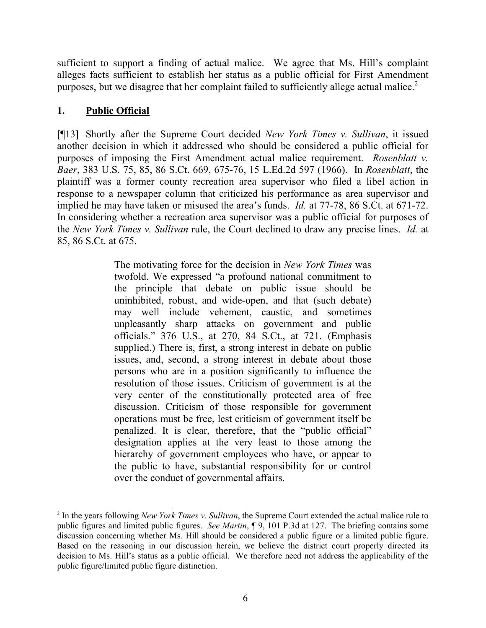sufficient to support a finding of actual malice. We agree that Ms. Hill's complaint alleges facts sufficient to establish her status as a public official for First Amendment purposes, but we disagree that her complaint failed to sufficiently allege actual malice.<sup>2</sup>

# **1. Public Official**

[¶13] Shortly after the Supreme Court decided *New York Times v. Sullivan*, it issued another decision in which it addressed who should be considered a public official for purposes of imposing the First Amendment actual malice requirement. *Rosenblatt v. Baer*, 383 U.S. 75, 85, 86 S.Ct. 669, 675-76, 15 L.Ed.2d 597 (1966). In *Rosenblatt*, the plaintiff was a former county recreation area supervisor who filed a libel action in response to a newspaper column that criticized his performance as area supervisor and implied he may have taken or misused the area's funds. *Id.* at 77-78, 86 S.Ct. at 671-72. In considering whether a recreation area supervisor was a public official for purposes of the *New York Times v. Sullivan* rule, the Court declined to draw any precise lines. *Id.* at 85, 86 S.Ct. at 675.

> The motivating force for the decision in *New York Times* was twofold. We expressed "a profound national commitment to the principle that debate on public issue should be uninhibited, robust, and wide-open, and that (such debate) may well include vehement, caustic, and sometimes unpleasantly sharp attacks on government and public officials." 376 U.S., at 270, 84 S.Ct., at 721. (Emphasis supplied.) There is, first, a strong interest in debate on public issues, and, second, a strong interest in debate about those persons who are in a position significantly to influence the resolution of those issues. Criticism of government is at the very center of the constitutionally protected area of free discussion. Criticism of those responsible for government operations must be free, lest criticism of government itself be penalized. It is clear, therefore, that the "public official" designation applies at the very least to those among the hierarchy of government employees who have, or appear to the public to have, substantial responsibility for or control over the conduct of governmental affairs.

<sup>2</sup> In the years following *New York Times v. Sullivan*, the Supreme Court extended the actual malice rule to public figures and limited public figures. *See Martin*, ¶ 9, 101 P.3d at 127. The briefing contains some discussion concerning whether Ms. Hill should be considered a public figure or a limited public figure. Based on the reasoning in our discussion herein, we believe the district court properly directed its decision to Ms. Hill's status as a public official. We therefore need not address the applicability of the public figure/limited public figure distinction.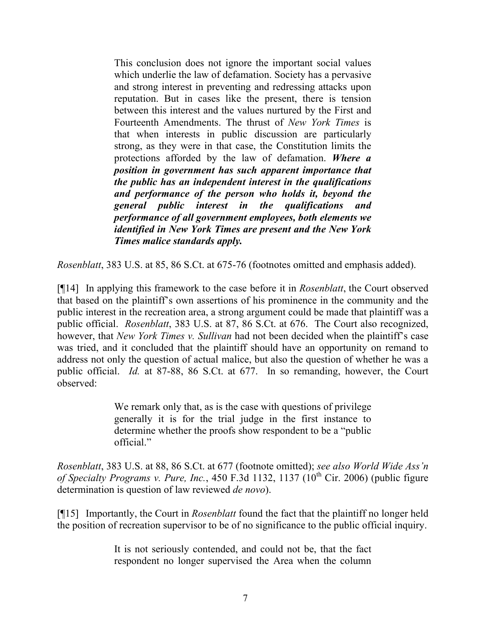This conclusion does not ignore the important social values which underlie the law of defamation. Society has a pervasive and strong interest in preventing and redressing attacks upon reputation. But in cases like the present, there is tension between this interest and the values nurtured by the First and Fourteenth Amendments. The thrust of *New York Times* is that when interests in public discussion are particularly strong, as they were in that case, the Constitution limits the protections afforded by the law of defamation. *Where a position in government has such apparent importance that the public has an independent interest in the qualifications and performance of the person who holds it, beyond the general public interest in the qualifications and performance of all government employees, both elements we identified in New York Times are present and the New York Times malice standards apply.*

*Rosenblatt*, 383 U.S. at 85, 86 S.Ct. at 675-76 (footnotes omitted and emphasis added).

[¶14] In applying this framework to the case before it in *Rosenblatt*, the Court observed that based on the plaintiff's own assertions of his prominence in the community and the public interest in the recreation area, a strong argument could be made that plaintiff was a public official. *Rosenblatt*, 383 U.S. at 87, 86 S.Ct. at 676. The Court also recognized, however, that *New York Times v. Sullivan* had not been decided when the plaintiff's case was tried, and it concluded that the plaintiff should have an opportunity on remand to address not only the question of actual malice, but also the question of whether he was a public official. *Id.* at 87-88, 86 S.Ct. at 677. In so remanding, however, the Court observed:

> We remark only that, as is the case with questions of privilege generally it is for the trial judge in the first instance to determine whether the proofs show respondent to be a "public official"

*Rosenblatt*, 383 U.S. at 88, 86 S.Ct. at 677 (footnote omitted); *see also World Wide Ass'n of Specialty Programs v. Pure, Inc.*, 450 F.3d 1132, 1137 (10<sup>th</sup> Cir. 2006) (public figure determination is question of law reviewed *de novo*).

[¶15] Importantly, the Court in *Rosenblatt* found the fact that the plaintiff no longer held the position of recreation supervisor to be of no significance to the public official inquiry.

> It is not seriously contended, and could not be, that the fact respondent no longer supervised the Area when the column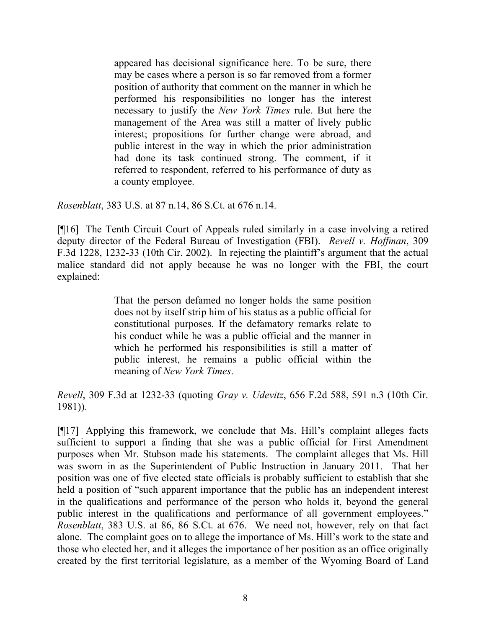appeared has decisional significance here. To be sure, there may be cases where a person is so far removed from a former position of authority that comment on the manner in which he performed his responsibilities no longer has the interest necessary to justify the *New York Times* rule. But here the management of the Area was still a matter of lively public interest; propositions for further change were abroad, and public interest in the way in which the prior administration had done its task continued strong. The comment, if it referred to respondent, referred to his performance of duty as a county employee.

*Rosenblatt*, 383 U.S. at 87 n.14, 86 S.Ct. at 676 n.14.

[¶16] The Tenth Circuit Court of Appeals ruled similarly in a case involving a retired deputy director of the Federal Bureau of Investigation (FBI). *Revell v. Hoffman*, 309 F.3d 1228, 1232-33 (10th Cir. 2002). In rejecting the plaintiff's argument that the actual malice standard did not apply because he was no longer with the FBI, the court explained:

> That the person defamed no longer holds the same position does not by itself strip him of his status as a public official for constitutional purposes. If the defamatory remarks relate to his conduct while he was a public official and the manner in which he performed his responsibilities is still a matter of public interest, he remains a public official within the meaning of *New York Times*.

*Revell*, 309 F.3d at 1232-33 (quoting *Gray v. Udevitz*, 656 F.2d 588, 591 n.3 (10th Cir. 1981)).

[¶17] Applying this framework, we conclude that Ms. Hill's complaint alleges facts sufficient to support a finding that she was a public official for First Amendment purposes when Mr. Stubson made his statements. The complaint alleges that Ms. Hill was sworn in as the Superintendent of Public Instruction in January 2011. That her position was one of five elected state officials is probably sufficient to establish that she held a position of "such apparent importance that the public has an independent interest in the qualifications and performance of the person who holds it, beyond the general public interest in the qualifications and performance of all government employees." *Rosenblatt*, 383 U.S. at 86, 86 S.Ct. at 676. We need not, however, rely on that fact alone. The complaint goes on to allege the importance of Ms. Hill's work to the state and those who elected her, and it alleges the importance of her position as an office originally created by the first territorial legislature, as a member of the Wyoming Board of Land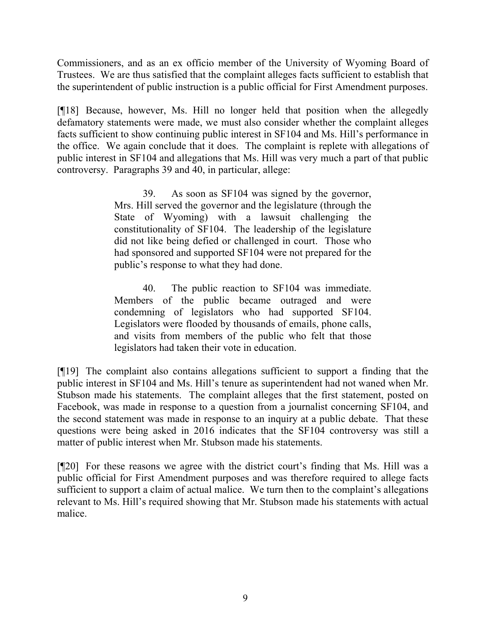Commissioners, and as an ex officio member of the University of Wyoming Board of Trustees. We are thus satisfied that the complaint alleges facts sufficient to establish that the superintendent of public instruction is a public official for First Amendment purposes.

[¶18] Because, however, Ms. Hill no longer held that position when the allegedly defamatory statements were made, we must also consider whether the complaint alleges facts sufficient to show continuing public interest in SF104 and Ms. Hill's performance in the office. We again conclude that it does. The complaint is replete with allegations of public interest in SF104 and allegations that Ms. Hill was very much a part of that public controversy. Paragraphs 39 and 40, in particular, allege:

> 39. As soon as SF104 was signed by the governor, Mrs. Hill served the governor and the legislature (through the State of Wyoming) with a lawsuit challenging the constitutionality of SF104. The leadership of the legislature did not like being defied or challenged in court. Those who had sponsored and supported SF104 were not prepared for the public's response to what they had done.

> 40. The public reaction to SF104 was immediate. Members of the public became outraged and were condemning of legislators who had supported SF104. Legislators were flooded by thousands of emails, phone calls, and visits from members of the public who felt that those legislators had taken their vote in education.

[¶19] The complaint also contains allegations sufficient to support a finding that the public interest in SF104 and Ms. Hill's tenure as superintendent had not waned when Mr. Stubson made his statements. The complaint alleges that the first statement, posted on Facebook, was made in response to a question from a journalist concerning SF104, and the second statement was made in response to an inquiry at a public debate. That these questions were being asked in 2016 indicates that the SF104 controversy was still a matter of public interest when Mr. Stubson made his statements.

[¶20] For these reasons we agree with the district court's finding that Ms. Hill was a public official for First Amendment purposes and was therefore required to allege facts sufficient to support a claim of actual malice. We turn then to the complaint's allegations relevant to Ms. Hill's required showing that Mr. Stubson made his statements with actual malice.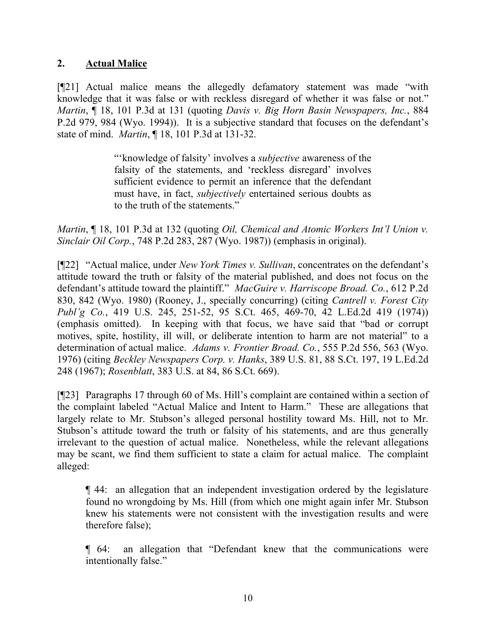## **2. Actual Malice**

[¶21] Actual malice means the allegedly defamatory statement was made "with knowledge that it was false or with reckless disregard of whether it was false or not." *Martin*, ¶ 18, 101 P.3d at 131 (quoting *Davis v. Big Horn Basin Newspapers, Inc.*, 884 P.2d 979, 984 (Wyo. 1994)). It is a subjective standard that focuses on the defendant's state of mind. *Martin*, ¶ 18, 101 P.3d at 131-32.

> "'knowledge of falsity' involves a *subjective* awareness of the falsity of the statements, and 'reckless disregard' involves sufficient evidence to permit an inference that the defendant must have, in fact, *subjectively* entertained serious doubts as to the truth of the statements."

*Martin*, ¶ 18, 101 P.3d at 132 (quoting *Oil, Chemical and Atomic Workers Int'l Union v. Sinclair Oil Corp.*, 748 P.2d 283, 287 (Wyo. 1987)) (emphasis in original).

[¶22] "Actual malice, under *New York Times v. Sullivan*, concentrates on the defendant's attitude toward the truth or falsity of the material published, and does not focus on the defendant's attitude toward the plaintiff." *MacGuire v. Harriscope Broad. Co.*, 612 P.2d 830, 842 (Wyo. 1980) (Rooney, J., specially concurring) (citing *Cantrell v. Forest City Publ'g Co.*, 419 U.S. 245, 251-52, 95 S.Ct. 465, 469-70, 42 L.Ed.2d 419 (1974)) (emphasis omitted). In keeping with that focus, we have said that "bad or corrupt motives, spite, hostility, ill will, or deliberate intention to harm are not material" to a determination of actual malice. *Adams v. Frontier Broad. Co.*, 555 P.2d 556, 563 (Wyo. 1976) (citing *Beckley Newspapers Corp. v. Hanks*, 389 U.S. 81, 88 S.Ct. 197, 19 L.Ed.2d 248 (1967); *Rosenblatt*, 383 U.S. at 84, 86 S.Ct. 669).

[¶23] Paragraphs 17 through 60 of Ms. Hill's complaint are contained within a section of the complaint labeled "Actual Malice and Intent to Harm." These are allegations that largely relate to Mr. Stubson's alleged personal hostility toward Ms. Hill, not to Mr. Stubson's attitude toward the truth or falsity of his statements, and are thus generally irrelevant to the question of actual malice. Nonetheless, while the relevant allegations may be scant, we find them sufficient to state a claim for actual malice. The complaint alleged:

¶ 44: an allegation that an independent investigation ordered by the legislature found no wrongdoing by Ms. Hill (from which one might again infer Mr. Stubson knew his statements were not consistent with the investigation results and were therefore false);

¶ 64: an allegation that "Defendant knew that the communications were intentionally false."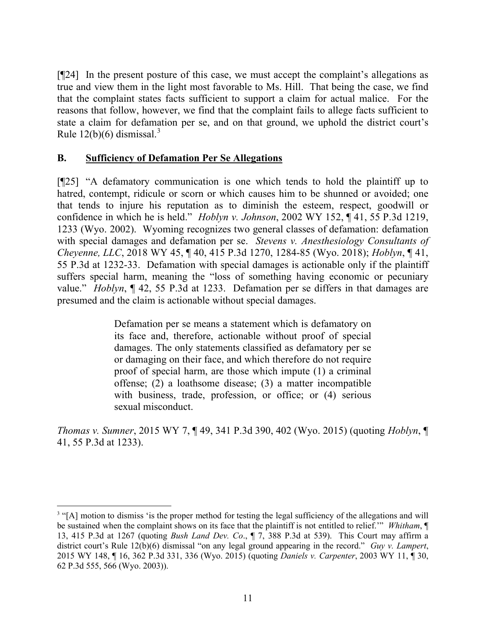[¶24] In the present posture of this case, we must accept the complaint's allegations as true and view them in the light most favorable to Ms. Hill. That being the case, we find that the complaint states facts sufficient to support a claim for actual malice. For the reasons that follow, however, we find that the complaint fails to allege facts sufficient to state a claim for defamation per se, and on that ground, we uphold the district court's Rule  $12(b)(6)$  dismissal.<sup>3</sup>

#### **B. Sufficiency of Defamation Per Se Allegations**

[¶25] "A defamatory communication is one which tends to hold the plaintiff up to hatred, contempt, ridicule or scorn or which causes him to be shunned or avoided; one that tends to injure his reputation as to diminish the esteem, respect, goodwill or confidence in which he is held." *Hoblyn v. Johnson*, 2002 WY 152, ¶ 41, 55 P.3d 1219, 1233 (Wyo. 2002). Wyoming recognizes two general classes of defamation: defamation with special damages and defamation per se. *Stevens v. Anesthesiology Consultants of Cheyenne, LLC*, 2018 WY 45, ¶ 40, 415 P.3d 1270, 1284-85 (Wyo. 2018); *Hoblyn*, ¶ 41, 55 P.3d at 1232-33. Defamation with special damages is actionable only if the plaintiff suffers special harm, meaning the "loss of something having economic or pecuniary value." *Hoblyn*, ¶ 42, 55 P.3d at 1233. Defamation per se differs in that damages are presumed and the claim is actionable without special damages.

> Defamation per se means a statement which is defamatory on its face and, therefore, actionable without proof of special damages. The only statements classified as defamatory per se or damaging on their face, and which therefore do not require proof of special harm, are those which impute (1) a criminal offense; (2) a loathsome disease; (3) a matter incompatible with business, trade, profession, or office; or  $(4)$  serious sexual misconduct.

*Thomas v. Sumner*, 2015 WY 7, ¶ 49, 341 P.3d 390, 402 (Wyo. 2015) (quoting *Hoblyn*, ¶ 41, 55 P.3d at 1233).

<sup>&</sup>lt;sup>3</sup> "[A] motion to dismiss 'is the proper method for testing the legal sufficiency of the allegations and will be sustained when the complaint shows on its face that the plaintiff is not entitled to relief.'" *Whitham*, ¶ 13, 415 P.3d at 1267 (quoting *Bush Land Dev. Co*., ¶ 7, 388 P.3d at 539). This Court may affirm a district court's Rule 12(b)(6) dismissal "on any legal ground appearing in the record." *Guy v. Lampert*, 2015 WY 148, ¶ 16, 362 P.3d 331, 336 (Wyo. 2015) (quoting *Daniels v. Carpenter*, 2003 WY 11, ¶ 30, 62 P.3d 555, 566 (Wyo. 2003)).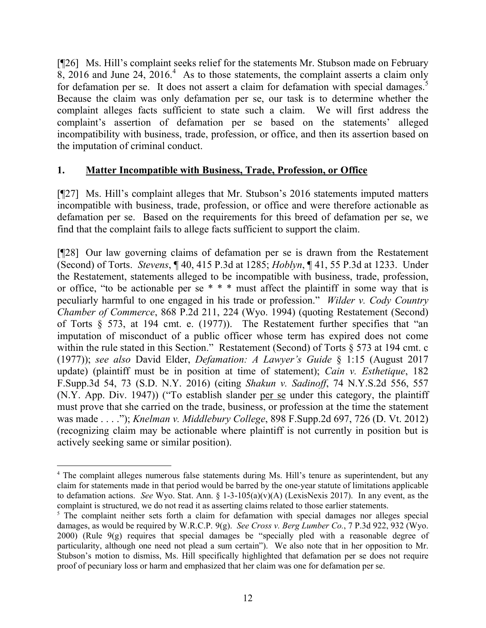[¶26] Ms. Hill's complaint seeks relief for the statements Mr. Stubson made on February  $8, 2016$  and June 24,  $2016<sup>4</sup>$  As to those statements, the complaint asserts a claim only for defamation per se. It does not assert a claim for defamation with special damages.<sup>5</sup> Because the claim was only defamation per se, our task is to determine whether the complaint alleges facts sufficient to state such a claim. We will first address the complaint's assertion of defamation per se based on the statements' alleged incompatibility with business, trade, profession, or office, and then its assertion based on the imputation of criminal conduct.

## **1. Matter Incompatible with Business, Trade, Profession, or Office**

[¶27] Ms. Hill's complaint alleges that Mr. Stubson's 2016 statements imputed matters incompatible with business, trade, profession, or office and were therefore actionable as defamation per se. Based on the requirements for this breed of defamation per se, we find that the complaint fails to allege facts sufficient to support the claim.

[¶28] Our law governing claims of defamation per se is drawn from the Restatement (Second) of Torts. *Stevens*, ¶ 40, 415 P.3d at 1285; *Hoblyn*, ¶ 41, 55 P.3d at 1233. Under the Restatement, statements alleged to be incompatible with business, trade, profession, or office, "to be actionable per se \* \* \* must affect the plaintiff in some way that is peculiarly harmful to one engaged in his trade or profession." *Wilder v. Cody Country Chamber of Commerce*, 868 P.2d 211, 224 (Wyo. 1994) (quoting Restatement (Second) of Torts § 573, at 194 cmt. e. (1977)). The Restatement further specifies that "an imputation of misconduct of a public officer whose term has expired does not come within the rule stated in this Section." Restatement (Second) of Torts § 573 at 194 cmt. c (1977)); *see also* David Elder, *Defamation: A Lawyer's Guide* § 1:15 (August 2017 update) (plaintiff must be in position at time of statement); *Cain v. Esthetique*, 182 F.Supp.3d 54, 73 (S.D. N.Y. 2016) (citing *Shakun v. Sadinoff*, 74 N.Y.S.2d 556, 557 (N.Y. App. Div. 1947)) ("To establish slander per se under this category, the plaintiff must prove that she carried on the trade, business, or profession at the time the statement was made . . . ."); *Knelman v. Middlebury College*, 898 F.Supp.2d 697, 726 (D. Vt. 2012) (recognizing claim may be actionable where plaintiff is not currently in position but is actively seeking same or similar position).

 $\overline{a}$ 

<sup>4</sup> The complaint alleges numerous false statements during Ms. Hill's tenure as superintendent, but any claim for statements made in that period would be barred by the one-year statute of limitations applicable to defamation actions. *See* Wyo. Stat. Ann. § 1-3-105(a)(v)(A) (LexisNexis 2017). In any event, as the complaint is structured, we do not read it as asserting claims related to those earlier statements.

<sup>&</sup>lt;sup>5</sup> The complaint neither sets forth a claim for defamation with special damages nor alleges special damages, as would be required by W.R.C.P. 9(g). *See Cross v. Berg Lumber Co.*, 7 P.3d 922, 932 (Wyo. 2000) (Rule 9(g) requires that special damages be "specially pled with a reasonable degree of particularity, although one need not plead a sum certain"). We also note that in her opposition to Mr. Stubson's motion to dismiss, Ms. Hill specifically highlighted that defamation per se does not require proof of pecuniary loss or harm and emphasized that her claim was one for defamation per se.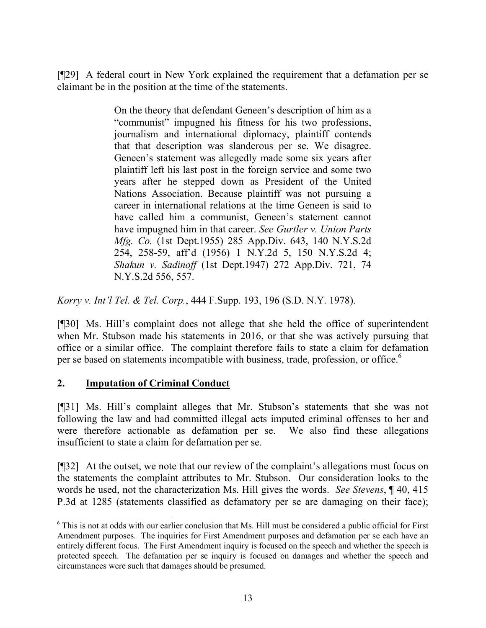[¶29] A federal court in New York explained the requirement that a defamation per se claimant be in the position at the time of the statements.

> On the theory that defendant Geneen's description of him as a "communist" impugned his fitness for his two professions, journalism and international diplomacy, plaintiff contends that that description was slanderous per se. We disagree. Geneen's statement was allegedly made some six years after plaintiff left his last post in the foreign service and some two years after he stepped down as President of the United Nations Association. Because plaintiff was not pursuing a career in international relations at the time Geneen is said to have called him a communist, Geneen's statement cannot have impugned him in that career. *See Gurtler v. Union Parts Mfg. Co.* (1st Dept.1955) 285 App.Div. 643, 140 N.Y.S.2d 254, 258-59, aff'd (1956) 1 N.Y.2d 5, 150 N.Y.S.2d 4; *Shakun v. Sadinoff* (1st Dept.1947) 272 App.Div. 721, 74 N.Y.S.2d 556, 557.

*Korry v. Int'l Tel. & Tel. Corp.*, 444 F.Supp. 193, 196 (S.D. N.Y. 1978).

[¶30] Ms. Hill's complaint does not allege that she held the office of superintendent when Mr. Stubson made his statements in 2016, or that she was actively pursuing that office or a similar office. The complaint therefore fails to state a claim for defamation per se based on statements incompatible with business, trade, profession, or office.<sup>6</sup>

## **2. Imputation of Criminal Conduct**

 $\overline{a}$ 

[¶31] Ms. Hill's complaint alleges that Mr. Stubson's statements that she was not following the law and had committed illegal acts imputed criminal offenses to her and were therefore actionable as defamation per se. We also find these allegations insufficient to state a claim for defamation per se.

[¶32] At the outset, we note that our review of the complaint's allegations must focus on the statements the complaint attributes to Mr. Stubson. Our consideration looks to the words he used, not the characterization Ms. Hill gives the words. *See Stevens*, ¶ 40, 415 P.3d at 1285 (statements classified as defamatory per se are damaging on their face);

<sup>6</sup> This is not at odds with our earlier conclusion that Ms. Hill must be considered a public official for First Amendment purposes. The inquiries for First Amendment purposes and defamation per se each have an entirely different focus. The First Amendment inquiry is focused on the speech and whether the speech is protected speech. The defamation per se inquiry is focused on damages and whether the speech and circumstances were such that damages should be presumed.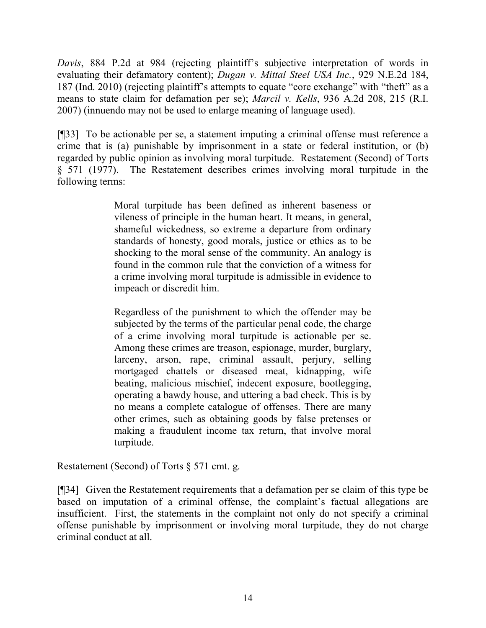*Davis*, 884 P.2d at 984 (rejecting plaintiff's subjective interpretation of words in evaluating their defamatory content); *Dugan v. Mittal Steel USA Inc.*, 929 N.E.2d 184, 187 (Ind. 2010) (rejecting plaintiff's attempts to equate "core exchange" with "theft" as a means to state claim for defamation per se); *Marcil v. Kells*, 936 A.2d 208, 215 (R.I. 2007) (innuendo may not be used to enlarge meaning of language used).

[¶33] To be actionable per se, a statement imputing a criminal offense must reference a crime that is (a) punishable by imprisonment in a state or federal institution, or (b) regarded by public opinion as involving moral turpitude. Restatement (Second) of Torts § 571 (1977). The Restatement describes crimes involving moral turpitude in the following terms:

> Moral turpitude has been defined as inherent baseness or vileness of principle in the human heart. It means, in general, shameful wickedness, so extreme a departure from ordinary standards of honesty, good morals, justice or ethics as to be shocking to the moral sense of the community. An analogy is found in the common rule that the conviction of a witness for a crime involving moral turpitude is admissible in evidence to impeach or discredit him.

> Regardless of the punishment to which the offender may be subjected by the terms of the particular penal code, the charge of a crime involving moral turpitude is actionable per se. Among these crimes are treason, espionage, murder, burglary, larceny, arson, rape, criminal assault, perjury, selling mortgaged chattels or diseased meat, kidnapping, wife beating, malicious mischief, indecent exposure, bootlegging, operating a bawdy house, and uttering a bad check. This is by no means a complete catalogue of offenses. There are many other crimes, such as obtaining goods by false pretenses or making a fraudulent income tax return, that involve moral turpitude.

Restatement (Second) of Torts § 571 cmt. g.

[¶34] Given the Restatement requirements that a defamation per se claim of this type be based on imputation of a criminal offense, the complaint's factual allegations are insufficient. First, the statements in the complaint not only do not specify a criminal offense punishable by imprisonment or involving moral turpitude, they do not charge criminal conduct at all.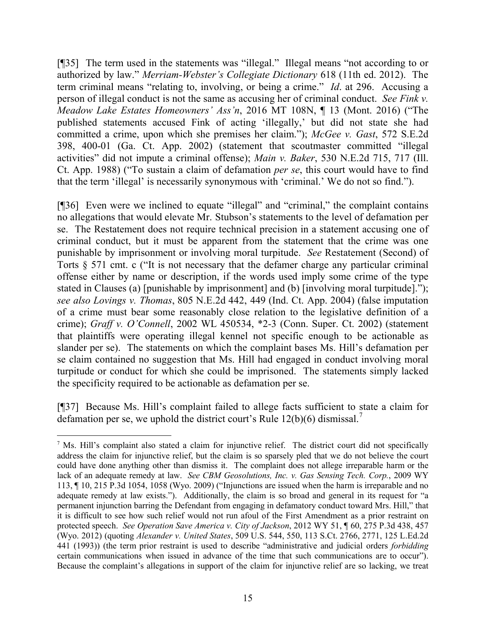[¶35] The term used in the statements was "illegal." Illegal means "not according to or authorized by law." *Merriam-Webster's Collegiate Dictionary* 618 (11th ed. 2012). The term criminal means "relating to, involving, or being a crime." *Id*. at 296. Accusing a person of illegal conduct is not the same as accusing her of criminal conduct. *See Fink v. Meadow Lake Estates Homeowners' Ass'n*, 2016 MT 108N, ¶ 13 (Mont. 2016) ("The published statements accused Fink of acting 'illegally,' but did not state she had committed a crime, upon which she premises her claim."); *McGee v. Gast*, 572 S.E.2d 398, 400-01 (Ga. Ct. App. 2002) (statement that scoutmaster committed "illegal activities" did not impute a criminal offense); *Main v. Baker*, 530 N.E.2d 715, 717 (Ill. Ct. App. 1988) ("To sustain a claim of defamation *per se*, this court would have to find that the term 'illegal' is necessarily synonymous with 'criminal.' We do not so find.").

[¶36] Even were we inclined to equate "illegal" and "criminal," the complaint contains no allegations that would elevate Mr. Stubson's statements to the level of defamation per se. The Restatement does not require technical precision in a statement accusing one of criminal conduct, but it must be apparent from the statement that the crime was one punishable by imprisonment or involving moral turpitude. *See* Restatement (Second) of Torts § 571 cmt. c ("It is not necessary that the defamer charge any particular criminal offense either by name or description, if the words used imply some crime of the type stated in Clauses (a) [punishable by imprisonment] and (b) [involving moral turpitude]."); *see also Lovings v. Thomas*, 805 N.E.2d 442, 449 (Ind. Ct. App. 2004) (false imputation of a crime must bear some reasonably close relation to the legislative definition of a crime); *Graff v. O'Connell*, 2002 WL 450534, \*2-3 (Conn. Super. Ct. 2002) (statement that plaintiffs were operating illegal kennel not specific enough to be actionable as slander per se). The statements on which the complaint bases Ms. Hill's defamation per se claim contained no suggestion that Ms. Hill had engaged in conduct involving moral turpitude or conduct for which she could be imprisoned. The statements simply lacked the specificity required to be actionable as defamation per se.

[¶37] Because Ms. Hill's complaint failed to allege facts sufficient to state a claim for defamation per se, we uphold the district court's Rule  $12(b)(6)$  dismissal.<sup>7</sup>

 $\overline{a}$ 

<sup>7</sup> Ms. Hill's complaint also stated a claim for injunctive relief. The district court did not specifically address the claim for injunctive relief, but the claim is so sparsely pled that we do not believe the court could have done anything other than dismiss it. The complaint does not allege irreparable harm or the lack of an adequate remedy at law. *See CBM Geosolutions, Inc. v. Gas Sensing Tech. Corp.*, 2009 WY 113, ¶ 10, 215 P.3d 1054, 1058 (Wyo. 2009) ("Injunctions are issued when the harm is irreparable and no adequate remedy at law exists."). Additionally, the claim is so broad and general in its request for "a permanent injunction barring the Defendant from engaging in defamatory conduct toward Mrs. Hill," that it is difficult to see how such relief would not run afoul of the First Amendment as a prior restraint on protected speech. *See Operation Save America v. City of Jackson*, 2012 WY 51, ¶ 60, 275 P.3d 438, 457 (Wyo. 2012) (quoting *Alexander v. United States*, 509 U.S. 544, 550, 113 S.Ct. 2766, 2771, 125 L.Ed.2d 441 (1993)) (the term prior restraint is used to describe "administrative and judicial orders *forbidding* certain communications when issued in advance of the time that such communications are to occur"). Because the complaint's allegations in support of the claim for injunctive relief are so lacking, we treat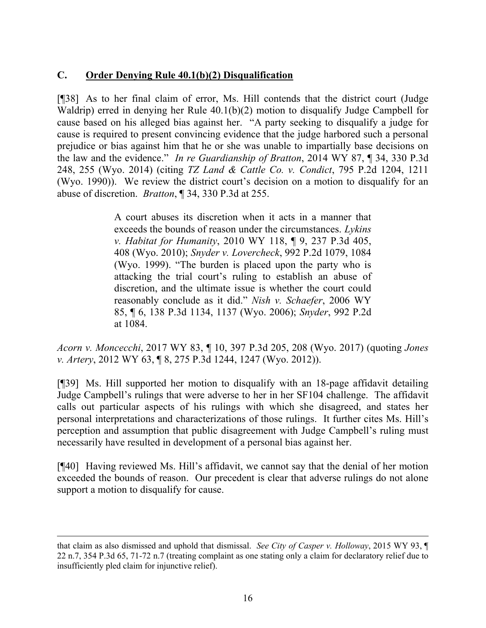# **C. Order Denying Rule 40.1(b)(2) Disqualification**

[¶38] As to her final claim of error, Ms. Hill contends that the district court (Judge Waldrip) erred in denying her Rule 40.1(b)(2) motion to disqualify Judge Campbell for cause based on his alleged bias against her. "A party seeking to disqualify a judge for cause is required to present convincing evidence that the judge harbored such a personal prejudice or bias against him that he or she was unable to impartially base decisions on the law and the evidence." *In re Guardianship of Bratton*, 2014 WY 87, ¶ 34, 330 P.3d 248, 255 (Wyo. 2014) (citing *TZ Land & Cattle Co. v. Condict*, 795 P.2d 1204, 1211 (Wyo. 1990)). We review the district court's decision on a motion to disqualify for an abuse of discretion. *Bratton*, ¶ 34, 330 P.3d at 255.

> A court abuses its discretion when it acts in a manner that exceeds the bounds of reason under the circumstances. *Lykins v. Habitat for Humanity*, 2010 WY 118, ¶ 9, 237 P.3d 405, 408 (Wyo. 2010); *Snyder v. Lovercheck*, 992 P.2d 1079, 1084 (Wyo. 1999). "The burden is placed upon the party who is attacking the trial court's ruling to establish an abuse of discretion, and the ultimate issue is whether the court could reasonably conclude as it did." *Nish v. Schaefer*, 2006 WY 85, ¶ 6, 138 P.3d 1134, 1137 (Wyo. 2006); *Snyder*, 992 P.2d at 1084.

*Acorn v. Moncecchi*, 2017 WY 83, ¶ 10, 397 P.3d 205, 208 (Wyo. 2017) (quoting *Jones v. Artery*, 2012 WY 63, ¶ 8, 275 P.3d 1244, 1247 (Wyo. 2012)).

[¶39] Ms. Hill supported her motion to disqualify with an 18-page affidavit detailing Judge Campbell's rulings that were adverse to her in her SF104 challenge. The affidavit calls out particular aspects of his rulings with which she disagreed, and states her personal interpretations and characterizations of those rulings. It further cites Ms. Hill's perception and assumption that public disagreement with Judge Campbell's ruling must necessarily have resulted in development of a personal bias against her.

[¶40] Having reviewed Ms. Hill's affidavit, we cannot say that the denial of her motion exceeded the bounds of reason. Our precedent is clear that adverse rulings do not alone support a motion to disqualify for cause.

l

that claim as also dismissed and uphold that dismissal. *See City of Casper v. Holloway*, 2015 WY 93, ¶ 22 n.7, 354 P.3d 65, 71-72 n.7 (treating complaint as one stating only a claim for declaratory relief due to insufficiently pled claim for injunctive relief).